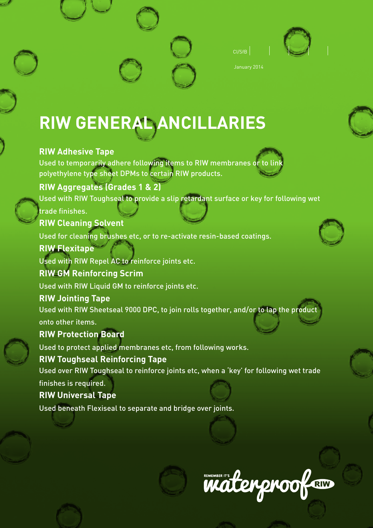



January 2014

# **RIW GENERAL ANCILLARIES**

# **RIW Adhesive Tape**

Used to temporarily adhere following items to RIW membranes or to lin polyethylene type sheet DPMs to certain RIW products.

# **RIW Aggregates (Grades 1 & 2)**

Used with RIW Toughseal to provide a slip retardant surface or key for following wet

# trade finishes.

**RIW Cleaning Solvent**

Used for cleaning brushes etc, or to re-activate resin-based coatings.

# **RIW Flexitape**

Used with RIW Repel AC to reinforce joints etc.

# **RIW GM Reinforcing Scrim**

Used with RIW Liquid GM to reinforce joints etc.

# **RIW Jointing Tape**

Used with RIW Sheetseal 9000 DPC, to join rolls together, and/or to lap the product onto other items.

# **RIW Protection Board**

Used to protect applied membranes etc, from following works.

# **RIW Toughseal Reinforcing Tape**

Used over RIW Toughseal to reinforce joints etc, when a 'key' for following wet trade

# finishes is required.

# **RIW Universal Tape**

Used beneath Flexiseal to separate and bridge over joints.







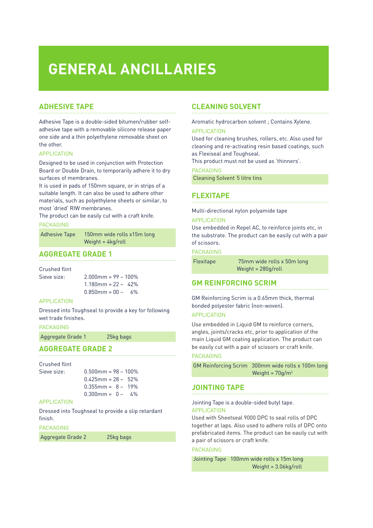# **GENERAL ANCILLARIES**

rolls x15m long

/roll

## **ADHESIVE TAPE**

Adhesive Tape is a double-sided bitumen/rubber selfadhesive tape with a removable silicone release paper one side and a thin polyethylene removable sheet on the other.

#### APPLICATION

Designed to be used in conjunction with Protection Board or Double Drain, to temporarily adhere it to dry surfaces of membranes.

It is used in pads of 150mm square, or in strips of a suitable length. It can also be used to adhere other materials, such as polyethylene sheets or similar, to most 'dried' RIW membranes.

The product can be easily cut with a craft knife.

#### PACKAGING

| <b>Adhesive Tape</b> | 150mm wide    |
|----------------------|---------------|
|                      | Weight = $4k$ |

### **AGGREGATE GRADE 1**

Crushed flint

| Sieve size: | $2.000$ mm = 99 - 100%  |  |
|-------------|-------------------------|--|
|             | $1.180$ mm = 22 - 42%   |  |
|             | $0.850$ mm = $00 - 6\%$ |  |

#### APPLICATION

Dressed into Toughseal to provide a key for following wet trade finishes.

#### PACKAGING

Aggregate Grade 1 25kg bags

#### **AGGREGATE GRADE 2**

#### Crushed flint

| Sieve size: | $0.500$ mm = 98 - 100%  |
|-------------|-------------------------|
|             | $0.425$ mm = 28 - 52%   |
|             | $0.355$ mm = $8 - 19\%$ |
|             | $0.300$ mm = $0 - 4\%$  |

#### **APPLICATION**

Dressed into Toughseal to provide a slip retardant finish.

#### PACKAGING

Aggregate Grade 2 25kg bags

## **CLEANING SOLVENT**

Aromatic hydrocarbon solvent ; Contains Xylene.

#### APPLICATION

Used for cleaning brushes, rollers, etc. Also used for cleaning and re-activating resin based coatings, such as Flexiseal and Toughseal.

This product must not be used as 'thinners'.

#### PACKAGING

Cleaning Solvent 5 litre tins

### **FLEXITAPE**

Multi-directional nylon polyamide tape

#### APPLICATION

Use embedded in Repel AC, to reinforce joints etc, in the substrate. The product can be easily cut with a pair of scissors.

**PACKAGING** 

| <b>Flexitape</b> | 75mm wide rolls x 50m long |
|------------------|----------------------------|
|                  | Weight = $280g$ /roll      |

## **GM REINFORCING SCRIM**

GM Reinforcing Scrim is a 0.65mm thick, thermal bonded polyester fabric (non-woven).

### APPLICATION

Use embedded in Liquid GM to reinforce corners, angles, joints/cracks etc, prior to application of the main Liquid GM coating application. The product can be easily cut with a pair of scissors or craft knife.

#### PACKAGING

| GM Reinforcing Scrim 300mm wide rolls x 100m long |
|---------------------------------------------------|
| Weight = $70q/m^2$                                |

## **JOINTING TAPE**

#### Jointing Tape is a double-sided butyl tape. APPLICATION

Used with Sheetseal 9000 DPC to seal rolls of DPC together at laps. Also used to adhere rolls of DPC onto prefabricated items. The product can be easily cut with a pair of scissors or craft knife.

#### PACKAGING

 Jointing Tape 100mm wide rolls x 15m long Weight = 3.06kg/roll